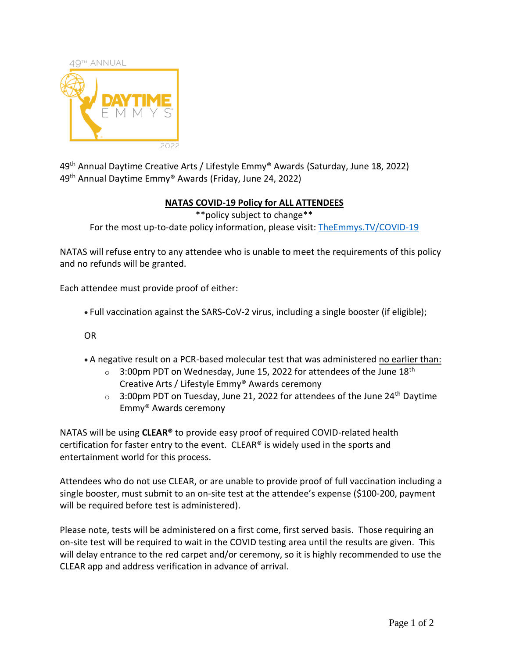

49th Annual Daytime Creative Arts / Lifestyle Emmy® Awards (Saturday, June 18, 2022) 49th Annual Daytime Emmy® Awards (Friday, June 24, 2022)

## **NATAS COVID-19 Policy for ALL ATTENDEES**

\*\*policy subject to change\*\* For the most up-to-date policy information, please visit: [TheEmmys.TV/COVID-19](http://www.theemmys.tv/COVID-19)

NATAS will refuse entry to any attendee who is unable to meet the requirements of this policy and no refunds will be granted.

Each attendee must provide proof of either:

• Full vaccination against the SARS-CoV-2 virus, including a single booster (if eligible);

OR

- A negative result on a PCR-based molecular test that was administered no earlier than:
	- $\circ$  3:00pm PDT on Wednesday, June 15, 2022 for attendees of the June 18<sup>th</sup> Creative Arts / Lifestyle Emmy® Awards ceremony
	- $\circ$  3:00pm PDT on Tuesday, June 21, 2022 for attendees of the June 24<sup>th</sup> Daytime Emmy® Awards ceremony

NATAS will be using **CLEAR®** to provide easy proof of required COVID-related health certification for faster entry to the event. CLEAR<sup>®</sup> is widely used in the sports and entertainment world for this process.

Attendees who do not use CLEAR, or are unable to provide proof of full vaccination including a single booster, must submit to an on-site test at the attendee's expense (\$100-200, payment will be required before test is administered).

Please note, tests will be administered on a first come, first served basis. Those requiring an on-site test will be required to wait in the COVID testing area until the results are given. This will delay entrance to the red carpet and/or ceremony, so it is highly recommended to use the CLEAR app and address verification in advance of arrival.